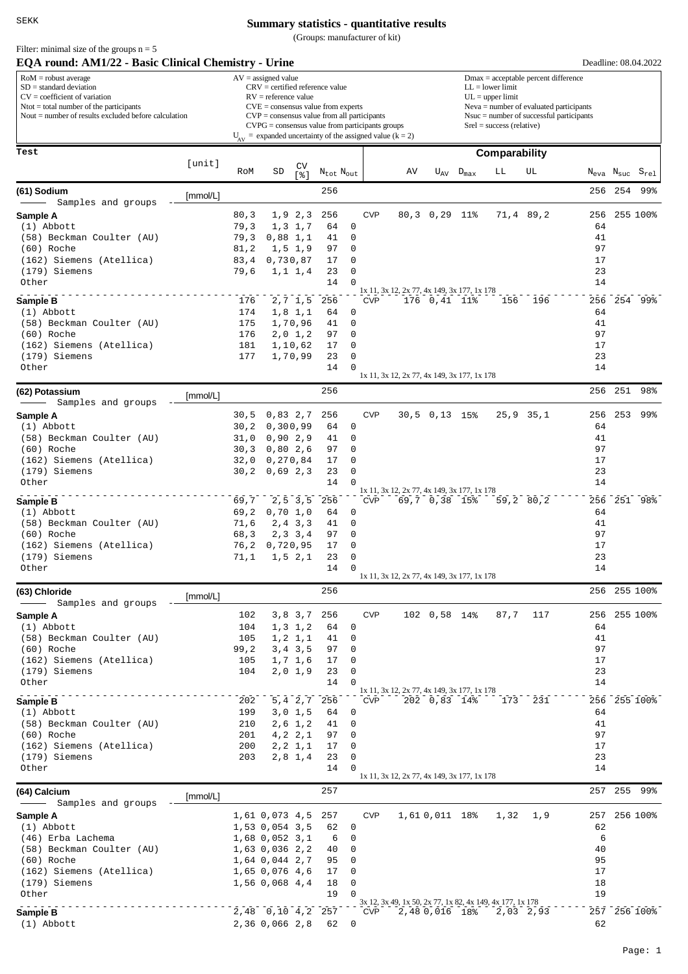(Groups: manufacturer of kit)

| Filter: minimal size of the groups $n = 5$ |  |            |  |                |  |
|--------------------------------------------|--|------------|--|----------------|--|
| $\mathbf{r}$                               |  | $\sqrt{2}$ |  | $\cdot$ $\sim$ |  |

| EQA round: AM1/22 - Basic Clinical Chemistry - Urine                                                              |          |                                                                       |                                                            |                           |                     |                                                      |                                                               |                                                                                          |                 |                    |                                                           |                    | Deadline: 08.04.2022 |         |                                                    |  |  |  |  |  |
|-------------------------------------------------------------------------------------------------------------------|----------|-----------------------------------------------------------------------|------------------------------------------------------------|---------------------------|---------------------|------------------------------------------------------|---------------------------------------------------------------|------------------------------------------------------------------------------------------|-----------------|--------------------|-----------------------------------------------------------|--------------------|----------------------|---------|----------------------------------------------------|--|--|--|--|--|
| $RoM =$ robust average<br>$SD = standard deviation$                                                               |          |                                                                       | $AV = assigned value$<br>$CRV =$ certified reference value |                           |                     |                                                      |                                                               | $Dmax = acceptable percent difference$<br>$LL = lower limit$                             |                 |                    |                                                           |                    |                      |         |                                                    |  |  |  |  |  |
| $CV = coefficient of variation$                                                                                   |          | $RV =$ reference value<br>$CVE = \text{consensus value from experts}$ |                                                            |                           |                     |                                                      |                                                               |                                                                                          |                 |                    |                                                           | $UL = upper limit$ |                      |         |                                                    |  |  |  |  |  |
| $N\text{tot} = \text{total number of the participants}$<br>Nout $=$ number of results excluded before calculation |          |                                                                       |                                                            |                           |                     | $CVP = \text{consensus value from all participants}$ |                                                               | $Neva = number of evaluated participants$<br>$N$ suc = number of successful participants |                 |                    |                                                           |                    |                      |         |                                                    |  |  |  |  |  |
|                                                                                                                   |          |                                                                       |                                                            |                           |                     |                                                      | $CVPG = \text{consensus value from participants groups}$      |                                                                                          |                 |                    | $Srel = success (relative)$                               |                    |                      |         |                                                    |  |  |  |  |  |
|                                                                                                                   |          |                                                                       |                                                            |                           |                     |                                                      | $U_{AV}$ = expanded uncertainty of the assigned value (k = 2) |                                                                                          |                 |                    |                                                           |                    |                      |         |                                                    |  |  |  |  |  |
| Test                                                                                                              |          |                                                                       |                                                            |                           |                     |                                                      |                                                               |                                                                                          |                 |                    | Comparability                                             |                    |                      |         |                                                    |  |  |  |  |  |
|                                                                                                                   | [unit]   | RoM                                                                   | SD                                                         | CV<br>[ န ]               | $N_{tot}$ $N_{out}$ |                                                      |                                                               | AV                                                                                       |                 | $U_{AV}$ $D_{max}$ | LL                                                        | UL                 |                      |         | $N_{\text{eva}}$ $N_{\text{suc}}$ $S_{\text{rel}}$ |  |  |  |  |  |
|                                                                                                                   |          |                                                                       |                                                            |                           | 256                 |                                                      |                                                               |                                                                                          |                 |                    |                                                           |                    |                      | 256 254 | 99%                                                |  |  |  |  |  |
| (61) Sodium<br>Samples and groups                                                                                 | [mmol/L] |                                                                       |                                                            |                           |                     |                                                      |                                                               |                                                                                          |                 |                    |                                                           |                    |                      |         |                                                    |  |  |  |  |  |
| Sample A                                                                                                          |          | 80, 3                                                                 |                                                            | 1, 9, 2, 3                | 256                 |                                                      | <b>CVP</b>                                                    |                                                                                          | $80, 3$ 0, 29   | 11%                |                                                           | 71,4 89,2          | 256                  |         | 255 100%                                           |  |  |  |  |  |
| $(1)$ Abbott                                                                                                      |          | 79,3                                                                  |                                                            | 1, 3, 1, 7                | 64                  | 0                                                    |                                                               |                                                                                          |                 |                    |                                                           |                    | 64                   |         |                                                    |  |  |  |  |  |
| (58) Beckman Coulter (AU)                                                                                         |          | 79,3                                                                  |                                                            | $0,88$ 1,1                | 41                  | 0                                                    |                                                               |                                                                                          |                 |                    |                                                           |                    | 41                   |         |                                                    |  |  |  |  |  |
| (60) Roche<br>(162) Siemens (Atellica)                                                                            |          | 81, 2                                                                 |                                                            | $1, 5$ 1,9                | 97<br>17            | 0<br>0                                               |                                                               |                                                                                          |                 |                    |                                                           |                    | 97<br>17             |         |                                                    |  |  |  |  |  |
| (179) Siemens                                                                                                     |          | 83,4<br>79,6                                                          |                                                            | 0,730,87<br>1, 1, 1, 4    | 23                  | 0                                                    |                                                               |                                                                                          |                 |                    |                                                           |                    | 23                   |         |                                                    |  |  |  |  |  |
| Other                                                                                                             |          |                                                                       |                                                            |                           | 14                  | $\Omega$                                             |                                                               |                                                                                          |                 |                    |                                                           |                    | 14                   |         |                                                    |  |  |  |  |  |
|                                                                                                                   |          | 176                                                                   |                                                            | $2, 7$ 1,5                | 256                 |                                                      | <b>CVP</b>                                                    | 1x 11, 3x 12, 2x 77, 4x 149, 3x 177, 1x 178                                              | $176$ 0, 41 11% |                    | 156                                                       | 196                |                      |         | 256 254 99%                                        |  |  |  |  |  |
| Sample B<br>(1) Abbott                                                                                            |          | 174                                                                   |                                                            | $1,8$ 1,1                 | 64                  | 0                                                    |                                                               |                                                                                          |                 |                    |                                                           |                    | 64                   |         |                                                    |  |  |  |  |  |
| (58) Beckman Coulter (AU)                                                                                         |          | 175                                                                   |                                                            | 1,70,96                   | 41                  | 0                                                    |                                                               |                                                                                          |                 |                    |                                                           |                    | 41                   |         |                                                    |  |  |  |  |  |
| (60) Roche                                                                                                        |          | 176                                                                   |                                                            | $2,0$ 1,2                 | 97                  | $\mathbf 0$                                          |                                                               |                                                                                          |                 |                    |                                                           |                    | 97                   |         |                                                    |  |  |  |  |  |
| (162) Siemens (Atellica)<br>(179) Siemens                                                                         |          | 181<br>177                                                            |                                                            | 1,10,62<br>1,70,99        | 17<br>23            | 0<br>0                                               |                                                               |                                                                                          |                 |                    |                                                           |                    | 17<br>23             |         |                                                    |  |  |  |  |  |
| Other                                                                                                             |          |                                                                       |                                                            |                           | 14                  | 0                                                    |                                                               |                                                                                          |                 |                    |                                                           |                    | 14                   |         |                                                    |  |  |  |  |  |
|                                                                                                                   |          |                                                                       |                                                            |                           |                     |                                                      |                                                               | 1x 11, 3x 12, 2x 77, 4x 149, 3x 177, 1x 178                                              |                 |                    |                                                           |                    |                      |         |                                                    |  |  |  |  |  |
| (62) Potassium                                                                                                    | [mmol/L] |                                                                       |                                                            |                           | 256                 |                                                      |                                                               |                                                                                          |                 |                    |                                                           |                    | 256                  | 251     | 98%                                                |  |  |  |  |  |
| Samples and groups                                                                                                |          |                                                                       |                                                            |                           |                     |                                                      |                                                               |                                                                                          |                 |                    |                                                           |                    |                      |         |                                                    |  |  |  |  |  |
| Sample A<br>$(1)$ Abbott                                                                                          |          | 30,5<br>30, 2                                                         |                                                            | 0,83,2,7<br>0, 300, 99    | 256<br>64           | 0                                                    | <b>CVP</b>                                                    |                                                                                          | $30,5$ 0,13 15% |                    |                                                           | $25, 9$ $35, 1$    | 64                   | 256 253 | 99%                                                |  |  |  |  |  |
| (58) Beckman Coulter (AU)                                                                                         |          | 31,0                                                                  |                                                            | 0,90,2,9                  | 41                  | 0                                                    |                                                               |                                                                                          |                 |                    |                                                           |                    | 41                   |         |                                                    |  |  |  |  |  |
| (60) Roche                                                                                                        |          | 30, 3                                                                 |                                                            | 0,80,2,6                  | 97                  | 0                                                    |                                                               |                                                                                          |                 |                    |                                                           |                    | 97                   |         |                                                    |  |  |  |  |  |
| (162) Siemens (Atellica)                                                                                          |          | 32,0                                                                  |                                                            | 0, 270, 84                | 17                  | 0                                                    |                                                               |                                                                                          |                 |                    |                                                           |                    | 17                   |         |                                                    |  |  |  |  |  |
| (179) Siemens<br>Other                                                                                            |          | 30, 2                                                                 |                                                            | 0,69,2,3                  | 23<br>14            | 0<br>$\Omega$                                        |                                                               |                                                                                          |                 |                    |                                                           |                    | 23<br>14             |         |                                                    |  |  |  |  |  |
|                                                                                                                   |          |                                                                       |                                                            |                           |                     |                                                      |                                                               | 1x 11, 3x 12, 2x 77, 4x 149, 3x 177, 1x 178                                              |                 |                    |                                                           |                    |                      |         |                                                    |  |  |  |  |  |
| Sample B                                                                                                          |          | 69,7                                                                  |                                                            | 2, 5, 3, 5                | 256                 |                                                      | <b>CVP</b>                                                    |                                                                                          | 69,7 0,38 15%   |                    |                                                           | 59,2 80,2          | 256                  |         | 251 98%                                            |  |  |  |  |  |
| (1) Abbott<br>(58) Beckman Coulter (AU)                                                                           |          | 69,2<br>71,6                                                          |                                                            | $0,70$ 1,0<br>$2, 4$ 3, 3 | 64<br>41            | 0<br>0                                               |                                                               |                                                                                          |                 |                    |                                                           |                    | 64<br>41             |         |                                                    |  |  |  |  |  |
| (60) Roche                                                                                                        |          | 68,3                                                                  |                                                            | 2, 3, 3, 4                | 97                  | 0                                                    |                                                               |                                                                                          |                 |                    |                                                           |                    | 97                   |         |                                                    |  |  |  |  |  |
| (162) Siemens (Atellica)                                                                                          |          | 76,2                                                                  |                                                            | 0,720,95                  | 17                  | 0                                                    |                                                               |                                                                                          |                 |                    |                                                           |                    | 17                   |         |                                                    |  |  |  |  |  |
| (179) Siemens<br>Other                                                                                            |          | 71,1                                                                  |                                                            | 1, 5, 2, 1                | 23<br>14            | $\mathbf 0$<br>0                                     |                                                               |                                                                                          |                 |                    |                                                           |                    | 23<br>14             |         |                                                    |  |  |  |  |  |
|                                                                                                                   |          |                                                                       |                                                            |                           |                     |                                                      |                                                               | 1x 11, 3x 12, 2x 77, 4x 149, 3x 177, 1x 178                                              |                 |                    |                                                           |                    |                      |         |                                                    |  |  |  |  |  |
| (63) Chloride                                                                                                     | [mmol/L] |                                                                       |                                                            |                           | 256                 |                                                      |                                                               |                                                                                          |                 |                    |                                                           |                    |                      |         | 256 255 100%                                       |  |  |  |  |  |
| Samples and groups<br>Sample A                                                                                    |          | 102                                                                   |                                                            | 3,8 3,7                   | 256                 |                                                      | <b>CVP</b>                                                    |                                                                                          | 102 0,58 14%    |                    | 87,7                                                      | 117                |                      |         | 256 255 100%                                       |  |  |  |  |  |
| $(1)$ Abbott                                                                                                      |          | 104                                                                   |                                                            | 1, 3, 1, 2                | 64                  | 0                                                    |                                                               |                                                                                          |                 |                    |                                                           |                    | 64                   |         |                                                    |  |  |  |  |  |
| (58) Beckman Coulter (AU)                                                                                         |          | 105                                                                   |                                                            | 1, 2, 1, 1                | 41                  | 0                                                    |                                                               |                                                                                          |                 |                    |                                                           |                    | 41                   |         |                                                    |  |  |  |  |  |
| (60) Roche                                                                                                        |          | 99,2                                                                  |                                                            | 3, 4, 3, 5                | 97                  | 0                                                    |                                                               |                                                                                          |                 |                    |                                                           |                    | 97                   |         |                                                    |  |  |  |  |  |
| (162) Siemens (Atellica)<br>(179) Siemens                                                                         |          | 105<br>104                                                            |                                                            | 1, 7, 1, 6<br>$2,0$ 1,9   | 17<br>23            | 0<br>0                                               |                                                               |                                                                                          |                 |                    |                                                           |                    | 17<br>23             |         |                                                    |  |  |  |  |  |
| Other                                                                                                             |          |                                                                       |                                                            |                           | 14                  | $\Omega$                                             |                                                               |                                                                                          |                 |                    |                                                           |                    | 14                   |         |                                                    |  |  |  |  |  |
|                                                                                                                   |          | 202                                                                   |                                                            |                           | 256                 |                                                      | <b>CVP</b>                                                    | 1x 11, 3x 12, 2x 77, 4x 149, 3x 177, 1x 178                                              |                 | 202 0,83 14%       |                                                           | 173 231            |                      |         | 256 255 100%                                       |  |  |  |  |  |
| Sample B<br>$(1)$ Abbott                                                                                          |          | 199                                                                   |                                                            | 5,4 2,7<br>$3,0 \ 1,5$    | 64                  | 0                                                    |                                                               |                                                                                          |                 |                    |                                                           |                    | 64                   |         |                                                    |  |  |  |  |  |
| (58) Beckman Coulter (AU)                                                                                         |          | 210                                                                   |                                                            | $2,6 \t1,2$               | 41                  | $\mathbf 0$                                          |                                                               |                                                                                          |                 |                    |                                                           |                    | 41                   |         |                                                    |  |  |  |  |  |
| (60) Roche                                                                                                        |          | 201                                                                   |                                                            | 4, 2, 2, 1                | 97                  | 0                                                    |                                                               |                                                                                          |                 |                    |                                                           |                    | 97                   |         |                                                    |  |  |  |  |  |
| (162) Siemens (Atellica)<br>(179) Siemens                                                                         |          | 200<br>203                                                            |                                                            | 2, 2, 1, 1<br>$2, 8$ 1, 4 | 17<br>23            | 0<br>0                                               |                                                               |                                                                                          |                 |                    |                                                           |                    | 17<br>23             |         |                                                    |  |  |  |  |  |
| Other                                                                                                             |          |                                                                       |                                                            |                           | 14                  | $\Omega$                                             |                                                               |                                                                                          |                 |                    |                                                           |                    | 14                   |         |                                                    |  |  |  |  |  |
|                                                                                                                   |          |                                                                       |                                                            |                           |                     |                                                      |                                                               | 1x 11, 3x 12, 2x 77, 4x 149, 3x 177, 1x 178                                              |                 |                    |                                                           |                    |                      |         |                                                    |  |  |  |  |  |
| (64) Calcium<br>Samples and groups                                                                                | [mmol/L] |                                                                       |                                                            |                           | 257                 |                                                      |                                                               |                                                                                          |                 |                    |                                                           |                    |                      | 257 255 | 99%                                                |  |  |  |  |  |
| Sample A                                                                                                          |          |                                                                       | 1,61 0,073 4,5 257                                         |                           |                     |                                                      | <b>CVP</b>                                                    |                                                                                          |                 | 1,610,011 18%      | 1,32                                                      | 1,9                |                      |         | 257 256 100%                                       |  |  |  |  |  |
| $(1)$ Abbott                                                                                                      |          |                                                                       | 1,53 0,054 3,5                                             |                           | 62                  | 0                                                    |                                                               |                                                                                          |                 |                    |                                                           |                    | 62                   |         |                                                    |  |  |  |  |  |
| (46) Erba Lachema                                                                                                 |          |                                                                       | 1,68 0,052 3,1                                             |                           | 6                   | 0                                                    |                                                               |                                                                                          |                 |                    |                                                           |                    | 6                    |         |                                                    |  |  |  |  |  |
| (58) Beckman Coulter (AU)<br>(60) Roche                                                                           |          |                                                                       | $1,63$ 0,036 2,2<br>1,64 0,044 2,7                         |                           | 40<br>95            | 0<br>0                                               |                                                               |                                                                                          |                 |                    |                                                           |                    | 40<br>95             |         |                                                    |  |  |  |  |  |
| (162) Siemens (Atellica)                                                                                          |          |                                                                       | 1,65 0,076 4,6                                             |                           | 17                  | 0                                                    |                                                               |                                                                                          |                 |                    |                                                           |                    | 17                   |         |                                                    |  |  |  |  |  |
| (179) Siemens                                                                                                     |          |                                                                       | 1,56 0,068 4,4                                             |                           | 18                  | $\mathbf 0$                                          |                                                               |                                                                                          |                 |                    |                                                           |                    | 18                   |         |                                                    |  |  |  |  |  |
| Other                                                                                                             |          |                                                                       |                                                            |                           | 19                  | ∩                                                    |                                                               |                                                                                          |                 |                    | 3x 12, 3x 49, 1x 50, 2x 77, 1x 82, 4x 149, 4x 177, 1x 178 |                    | 19                   |         |                                                    |  |  |  |  |  |
| Sample B                                                                                                          |          |                                                                       | 2,48 0,10 4,2 257                                          |                           |                     |                                                      | <b>CVP</b>                                                    |                                                                                          |                 |                    | 2,48 0,016 18% 2,03 2,93                                  |                    |                      |         | 257 256 100%                                       |  |  |  |  |  |
| $(1)$ Abbott                                                                                                      |          |                                                                       | 2,36 0,066 2,8                                             |                           | 62                  | 0                                                    |                                                               |                                                                                          |                 |                    |                                                           |                    | 62                   |         |                                                    |  |  |  |  |  |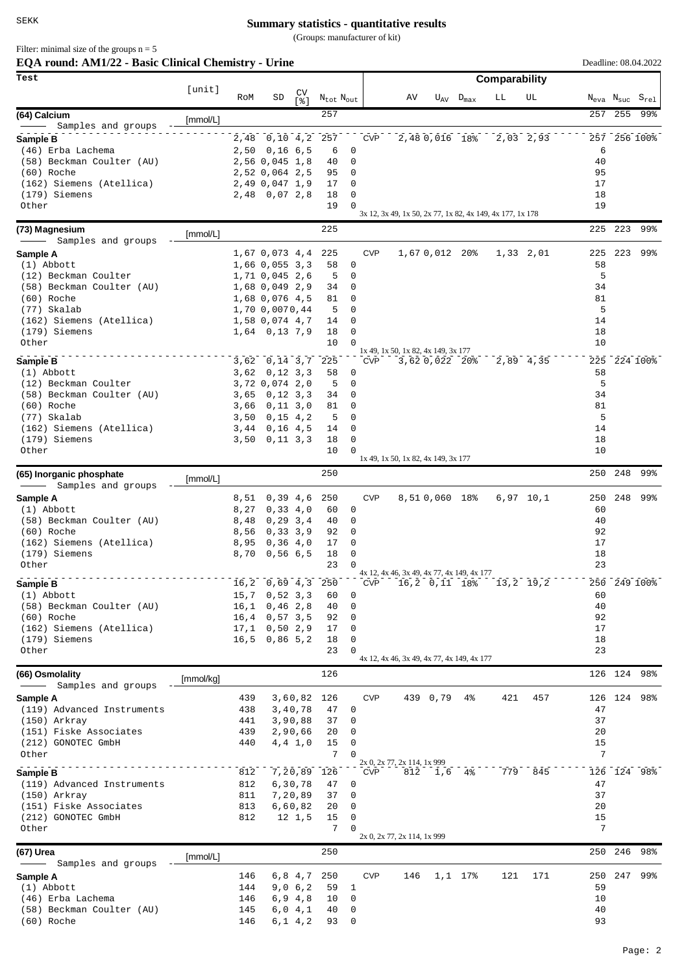(Groups: manufacturer of kit)

Filter: minimal size of the groups  $n = 5$ 

| EQA round: AM1/22 - Basic Clinical Chemistry - Urine |           |              |                                     |                       |                                   |                            |            |                                            | Deadline: 08.04.2022 |                                  |                                                           |             |          |         |                                                    |  |  |  |
|------------------------------------------------------|-----------|--------------|-------------------------------------|-----------------------|-----------------------------------|----------------------------|------------|--------------------------------------------|----------------------|----------------------------------|-----------------------------------------------------------|-------------|----------|---------|----------------------------------------------------|--|--|--|
| Test                                                 | [unit]    |              |                                     |                       |                                   |                            |            |                                            |                      |                                  | Comparability                                             |             |          |         |                                                    |  |  |  |
|                                                      |           | RoM          | SD                                  | CV<br>5.81            | $N_{\text{tot}}$ $N_{\text{out}}$ |                            |            | AV                                         |                      | $U_{\text{AV}}$ $D_{\text{max}}$ | LL                                                        | UL          |          |         | $N_{\text{eva}}$ $N_{\text{suc}}$ $S_{\text{rel}}$ |  |  |  |
| (64) Calcium                                         | [mmol/L]  |              |                                     |                       | 257                               |                            |            |                                            |                      |                                  |                                                           |             | 257      |         | 255 99%                                            |  |  |  |
| Samples and groups<br>Sample B                       |           | 2,48         | $\overline{0}$ , 10 4, 2            |                       | 257                               |                            | <b>CVP</b> |                                            | 2,48 0,016 18%       |                                  |                                                           | $2,03$ 2,93 |          |         | 257 256 100%                                       |  |  |  |
| (46) Erba Lachema                                    |           |              | $2,50$ 0,16 6,5                     |                       | 6                                 | 0                          |            |                                            |                      |                                  |                                                           |             | 6        |         |                                                    |  |  |  |
| (58) Beckman Coulter (AU)                            |           |              | 2,56 0,045 1,8                      |                       | 40                                | $\mathbf 0$                |            |                                            |                      |                                  |                                                           |             | 40       |         |                                                    |  |  |  |
| (60) Roche<br>(162) Siemens (Atellica)               |           |              | 2,52 0,064 2,5<br>2,49 0,047 1,9    |                       | 95<br>17                          | 0<br>0                     |            |                                            |                      |                                  |                                                           |             | 95<br>17 |         |                                                    |  |  |  |
| (179) Siemens                                        |           |              | 2,48 0,07 2,8                       |                       | 18                                | 0                          |            |                                            |                      |                                  |                                                           |             | 18       |         |                                                    |  |  |  |
| Other                                                |           |              |                                     |                       | 19                                | $\Omega$                   |            |                                            |                      |                                  |                                                           |             | 19       |         |                                                    |  |  |  |
|                                                      |           |              |                                     |                       |                                   |                            |            |                                            |                      |                                  | 3x 12, 3x 49, 1x 50, 2x 77, 1x 82, 4x 149, 4x 177, 1x 178 |             |          |         |                                                    |  |  |  |
| (73) Magnesium<br>- Samples and groups               | [mmol/L]  |              |                                     |                       | 225                               |                            |            |                                            |                      |                                  |                                                           |             |          | 225 223 | 99%                                                |  |  |  |
| Sample A                                             |           |              | 1,67 0,073 4,4                      |                       | 225                               |                            | <b>CVP</b> |                                            | 1,67 0,012 20%       |                                  |                                                           | 1,33 2,01   | 225      | 223     | 99%                                                |  |  |  |
| $(1)$ Abbott                                         |           |              | $1,66$ 0,055 3,3                    |                       | 58                                | 0                          |            |                                            |                      |                                  |                                                           |             | 58       |         |                                                    |  |  |  |
| (12) Beckman Coulter                                 |           |              | 1,71 0,045 2,6                      |                       | 5                                 | 0                          |            |                                            |                      |                                  |                                                           |             | 5        |         |                                                    |  |  |  |
| (58) Beckman Coulter (AU)<br>(60) Roche              |           |              | 1,68 0,049 2,9<br>1,68 0,076 4,5    |                       | 34<br>81                          | 0<br>0                     |            |                                            |                      |                                  |                                                           |             | 34<br>81 |         |                                                    |  |  |  |
| (77) Skalab                                          |           |              | 1,70 0,0070,44                      |                       | 5                                 | 0                          |            |                                            |                      |                                  |                                                           |             | 5        |         |                                                    |  |  |  |
| (162) Siemens (Atellica)                             |           |              | 1,58 0,074 4,7                      |                       | 14                                | 0                          |            |                                            |                      |                                  |                                                           |             | 14       |         |                                                    |  |  |  |
| (179) Siemens                                        |           |              | $1,64$ 0,13 7,9                     |                       | 18                                | $\mathbf 0$                |            |                                            |                      |                                  |                                                           |             | 18       |         |                                                    |  |  |  |
| Other                                                |           |              |                                     |                       | 10                                | $\mathbf 0$                |            | 1x 49, 1x 50, 1x 82, 4x 149, 3x 177        |                      |                                  |                                                           |             | 10       |         |                                                    |  |  |  |
| Sample B                                             |           |              | 3,62 0,14 3,7                       |                       | 225                               |                            | <b>CVP</b> |                                            | 3,62 0,022 20%       |                                  |                                                           | 2,89 4,35   | 225      |         | 224 100%                                           |  |  |  |
| $(1)$ Abbott                                         |           |              | $3,62$ 0, 12 3, 3<br>3,72 0,074 2,0 |                       | 58                                | 0<br>$\mathbf 0$           |            |                                            |                      |                                  |                                                           |             | 58<br>5  |         |                                                    |  |  |  |
| (12) Beckman Coulter<br>(58) Beckman Coulter (AU)    |           | 3,65         | 0, 12, 3, 3                         |                       | 5<br>34                           | 0                          |            |                                            |                      |                                  |                                                           |             | 34       |         |                                                    |  |  |  |
| (60) Roche                                           |           | 3,66         | 0, 11, 3, 0                         |                       | 81                                | 0                          |            |                                            |                      |                                  |                                                           |             | 81       |         |                                                    |  |  |  |
| (77) Skalab                                          |           | 3,50         | 0, 15, 4, 2                         |                       | 5                                 | $\mathbf 0$                |            |                                            |                      |                                  |                                                           |             | 5        |         |                                                    |  |  |  |
| (162) Siemens (Atellica)                             |           | 3,44         | $0,16$ 4,5                          |                       | 14                                | $\mathbf 0$                |            |                                            |                      |                                  |                                                           |             | 14       |         |                                                    |  |  |  |
| (179) Siemens<br>Other                               |           |              | $3,50$ $0,11$ $3,3$                 |                       | 18<br>10                          | $\mathbf 0$<br>$\mathbf 0$ |            |                                            |                      |                                  |                                                           |             | 18<br>10 |         |                                                    |  |  |  |
|                                                      |           |              |                                     |                       |                                   |                            |            | 1x 49, 1x 50, 1x 82, 4x 149, 3x 177        |                      |                                  |                                                           |             |          |         |                                                    |  |  |  |
| (65) Inorganic phosphate<br>Samples and groups       | [mmol/L]  |              |                                     |                       | 250                               |                            |            |                                            |                      |                                  |                                                           |             | 250      | 248     | 99%                                                |  |  |  |
| Sample A                                             |           | 8,51         | 0,39 4,6                            |                       | 250                               |                            | <b>CVP</b> |                                            | 8,510,060 18%        |                                  |                                                           | $6,97$ 10,1 | 250      | 248     | 99%                                                |  |  |  |
| (1) Abbott                                           |           | 8,27         | 0, 33, 4, 0                         |                       | 60                                | 0                          |            |                                            |                      |                                  |                                                           |             | 60       |         |                                                    |  |  |  |
| (58) Beckman Coulter (AU)                            |           | 8,48         | 0, 29, 3, 4                         |                       | 40                                | 0                          |            |                                            |                      |                                  |                                                           |             | 40       |         |                                                    |  |  |  |
| (60) Roche                                           |           | 8,56         | 0,33,3,9<br>0, 36, 4, 0             |                       | 92<br>17                          | 0<br>0                     |            |                                            |                      |                                  |                                                           |             | 92<br>17 |         |                                                    |  |  |  |
| (162) Siemens (Atellica)<br>(179) Siemens            |           | 8,95<br>8,70 | 0,56,6,5                            |                       | 18                                | 0                          |            |                                            |                      |                                  |                                                           |             | 18       |         |                                                    |  |  |  |
| Other                                                |           |              |                                     |                       | 23                                | $\Omega$                   |            |                                            |                      |                                  |                                                           |             | 23       |         |                                                    |  |  |  |
| Sample B                                             |           |              | $16, 2$ 0,69 4,3 250                |                       |                                   |                            | <b>CVP</b> | 4x 12, 4x 46, 3x 49, 4x 77, 4x 149, 4x 177 |                      |                                  | 16,2 0,11 18% 13,2 19,2                                   |             |          |         | 250 249 100%                                       |  |  |  |
| (1) Abbott                                           |           |              | $15,7$ 0,52 3,3                     |                       | 60                                | 0                          |            |                                            |                      |                                  |                                                           |             | 60       |         |                                                    |  |  |  |
| (58) Beckman Coulter (AU)                            |           |              | $16, 1$ 0, 46 2, 8                  |                       | 40                                | 0                          |            |                                            |                      |                                  |                                                           |             | 40       |         |                                                    |  |  |  |
| (60) Roche                                           |           |              | $16, 4$ 0,57 3,5                    |                       | 92                                | 0                          |            |                                            |                      |                                  |                                                           |             | 92       |         |                                                    |  |  |  |
| (162) Siemens (Atellica)<br>(179) Siemens            |           |              | $17,1$ 0,50 2,9<br>$16, 5$ 0,86 5,2 |                       | 17<br>18                          | 0<br>0                     |            |                                            |                      |                                  |                                                           |             | 17<br>18 |         |                                                    |  |  |  |
| Other                                                |           |              |                                     |                       | 23                                | $\Omega$                   |            |                                            |                      |                                  |                                                           |             | 23       |         |                                                    |  |  |  |
|                                                      |           |              |                                     |                       |                                   |                            |            | 4x 12, 4x 46, 3x 49, 4x 77, 4x 149, 4x 177 |                      |                                  |                                                           |             |          |         |                                                    |  |  |  |
| (66) Osmolality<br>- Samples and groups              | [mmol/kg] |              |                                     |                       | 126                               |                            |            |                                            |                      |                                  |                                                           |             |          |         | 126 124 98%                                        |  |  |  |
| Sample A                                             |           | 439          |                                     |                       | 3,60,82 126                       |                            | <b>CVP</b> |                                            | 439 0,79             | 4%                               | 421                                                       | 457         |          |         | 126 124 98%                                        |  |  |  |
| (119) Advanced Instruments                           |           | 438          |                                     | 3,40,78               | 47                                | 0                          |            |                                            |                      |                                  |                                                           |             | 47       |         |                                                    |  |  |  |
| (150) Arkray                                         |           | 441          |                                     | 3,90,88               | 37                                | $\mathbf 0$                |            |                                            |                      |                                  |                                                           |             | 37       |         |                                                    |  |  |  |
| (151) Fiske Associates<br>(212) GONOTEC GmbH         |           | 439<br>440   |                                     | 2,90,66<br>4, 4, 1, 0 | 20<br>15                          | 0<br>$\mathbf 0$           |            |                                            |                      |                                  |                                                           |             | 20<br>15 |         |                                                    |  |  |  |
| Other                                                |           |              |                                     |                       | 7                                 | $\Omega$                   |            |                                            |                      |                                  |                                                           |             | 7        |         |                                                    |  |  |  |
|                                                      |           | 812          |                                     |                       |                                   |                            | <b>CVP</b> | 2x 0, 2x 77, 2x 114, 1x 999                | 812 1,6 4%           |                                  |                                                           | 779 845     |          |         | 126 124 98%                                        |  |  |  |
| Sample B<br>(119) Advanced Instruments               |           | 812          |                                     | 6,30,78               | 7,20,89 126<br>47                 | 0                          |            |                                            |                      |                                  |                                                           |             | 47       |         |                                                    |  |  |  |
| (150) Arkray                                         |           | 811          |                                     | 7,20,89               | 37                                | 0                          |            |                                            |                      |                                  |                                                           |             | 37       |         |                                                    |  |  |  |
| (151) Fiske Associates                               |           | 813          |                                     | 6, 60, 82             | 20                                | 0                          |            |                                            |                      |                                  |                                                           |             | 20       |         |                                                    |  |  |  |
| (212) GONOTEC GmbH                                   |           | 812          |                                     | $12 \quad 1,5$        | 15                                | 0                          |            |                                            |                      |                                  |                                                           |             | 15       |         |                                                    |  |  |  |
| Other                                                |           |              |                                     |                       | 7                                 | $\Omega$                   |            | 2x 0, 2x 77, 2x 114, 1x 999                |                      |                                  |                                                           |             | 7        |         |                                                    |  |  |  |
| (67) Urea                                            | [mmol/L]  |              |                                     |                       | 250                               |                            |            |                                            |                      |                                  |                                                           |             |          |         | 250 246 98%                                        |  |  |  |
| Samples and groups                                   |           |              |                                     |                       |                                   |                            | <b>CVP</b> | 146                                        |                      |                                  | 121                                                       | 171         |          |         | 250 247 99%                                        |  |  |  |
| Sample A<br>$(1)$ Abbott                             |           | 146<br>144   |                                     | 9,06,2                | 6,8 4,7 250<br>59                 | 1                          |            |                                            |                      | $1,1$ 17%                        |                                                           |             | 59       |         |                                                    |  |  |  |
| (46) Erba Lachema                                    |           | 146          |                                     | 6, 9, 4, 8            | 10                                | $\mathbf 0$                |            |                                            |                      |                                  |                                                           |             | 10       |         |                                                    |  |  |  |
| (58) Beckman Coulter (AU)                            |           | 145          |                                     | 6,04,1                | 40                                | 0                          |            |                                            |                      |                                  |                                                           |             | 40       |         |                                                    |  |  |  |
| (60) Roche                                           |           | 146          |                                     | 6,1 4,2               | 93                                | $\overline{0}$             |            |                                            |                      |                                  |                                                           |             | 93       |         |                                                    |  |  |  |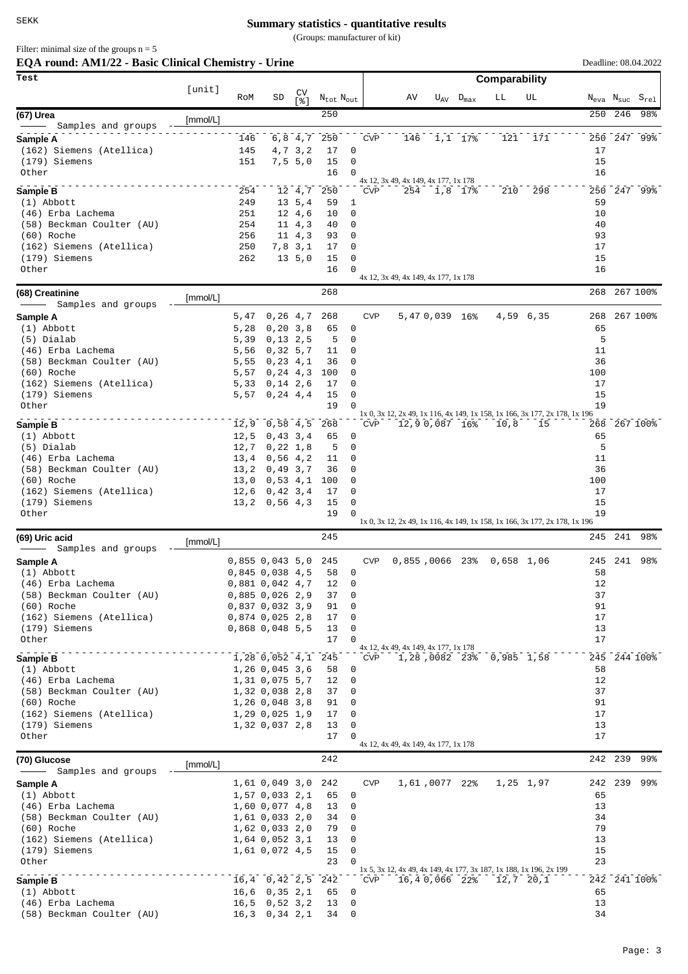(Groups: manufacturer of kit)

Filter: minimal size of the groups  $n = 5$ 

| EQA round: AM1/22 - Basic Clinical Chemistry - Urine |          |              |                                        |                       |                             |                         |            |                                             |                            |                           |                                                                            | Deadline: 08.04.2022 |         |                                                    |
|------------------------------------------------------|----------|--------------|----------------------------------------|-----------------------|-----------------------------|-------------------------|------------|---------------------------------------------|----------------------------|---------------------------|----------------------------------------------------------------------------|----------------------|---------|----------------------------------------------------|
| Test                                                 | [unit]   |              |                                        |                       |                             |                         |            |                                             |                            | Comparability             |                                                                            |                      |         |                                                    |
|                                                      |          | RoM          | SD                                     | CV<br>[ 응 ]           | $\rm N_{tot}$ $\rm N_{out}$ |                         |            | AV                                          | $U_{\rm AV}$ $D_{\rm max}$ | LL                        | UL                                                                         |                      |         | $N_{\text{eva}}$ $N_{\text{suc}}$ $S_{\text{rel}}$ |
| (67) Urea                                            | [mmol/L] |              |                                        |                       | 250                         |                         |            |                                             |                            |                           |                                                                            | 250                  | 246     | 98%                                                |
| Samples and groups<br>Sample A                       |          | 146          |                                        |                       | 6,8 4,7 250                 |                         | <b>CVP</b> | 146                                         | 1,1 17%                    | 121                       | 171                                                                        |                      |         | 250 247 99%                                        |
| (162) Siemens (Atellica)                             |          | 145          |                                        | 4,7 3,2               | 17                          | 0                       |            |                                             |                            |                           |                                                                            | 17                   |         |                                                    |
| (179) Siemens                                        |          | 151          |                                        | 7, 5, 5, 0            | 15                          | 0                       |            |                                             |                            |                           |                                                                            | 15                   |         |                                                    |
| Other                                                |          |              |                                        |                       | 16                          | 0                       |            |                                             |                            |                           |                                                                            | 16                   |         |                                                    |
| Sample B                                             |          | 254          |                                        | 12 4,7                | 250                         |                         | <b>CVP</b> | 4x 12, 3x 49, 4x 149, 4x 177, 1x 178<br>254 | 1,8 17%                    | 210                       | 298                                                                        |                      |         | 250 247 99%                                        |
| $(1)$ Abbott                                         |          | 249          |                                        | 13, 5, 4              | 59                          | 1                       |            |                                             |                            |                           |                                                                            | 59                   |         |                                                    |
| (46) Erba Lachema                                    |          | 251          |                                        | 12 4,6                | 10                          | 0                       |            |                                             |                            |                           |                                                                            | 10                   |         |                                                    |
| (58) Beckman Coulter (AU)                            |          | 254          |                                        | $11 \t 4, 3$          | 40                          | 0                       |            |                                             |                            |                           |                                                                            | 40                   |         |                                                    |
| (60) Roche<br>(162) Siemens (Atellica)               |          | 256<br>250   |                                        | $11 \t4.3$<br>7,8 3,1 | 93<br>17                    | 0<br>0                  |            |                                             |                            |                           |                                                                            | 93<br>17             |         |                                                    |
| (179) Siemens                                        |          | 262          |                                        | 13, 5, 0              | 15                          | 0                       |            |                                             |                            |                           |                                                                            | 15                   |         |                                                    |
| Other                                                |          |              |                                        |                       | 16                          | $\Omega$                |            |                                             |                            |                           |                                                                            | 16                   |         |                                                    |
| (68) Creatinine                                      |          |              |                                        |                       | 268                         |                         |            | 4x 12, 3x 49, 4x 149, 4x 177, 1x 178        |                            |                           |                                                                            | 268                  |         | 267 100%                                           |
| Samples and groups                                   | [mmol/L] |              |                                        |                       |                             |                         |            |                                             |                            |                           |                                                                            |                      |         |                                                    |
| Sample A                                             |          | 5,47         | 0, 26, 4, 7                            |                       | 268                         |                         | <b>CVP</b> | 5,47 0,039 16%                              |                            |                           | 4,59 6,35                                                                  | 268                  |         | 267 100%                                           |
| $(1)$ Abbott                                         |          | 5,28         | 0, 20, 3, 8                            |                       | 65                          | 0                       |            |                                             |                            |                           |                                                                            | 65                   |         |                                                    |
| (5) Dialab<br>(46) Erba Lachema                      |          | 5,39<br>5,56 | 0, 13, 2, 5<br>0, 32, 5, 7             |                       | 5<br>11                     | 0<br>0                  |            |                                             |                            |                           |                                                                            | 5<br>11              |         |                                                    |
| (58) Beckman Coulter (AU)                            |          | 5,55         | 0, 23, 4, 1                            |                       | 36                          | 0                       |            |                                             |                            |                           |                                                                            | 36                   |         |                                                    |
| (60) Roche                                           |          | 5,57         | 0, 24, 4, 3                            |                       | 100                         | 0                       |            |                                             |                            |                           |                                                                            | 100                  |         |                                                    |
| (162) Siemens (Atellica)                             |          | 5,33         | $0, 14$ 2,6                            |                       | 17                          | 0                       |            |                                             |                            |                           |                                                                            | 17                   |         |                                                    |
| (179) Siemens<br>Other                               |          | 5,57         | 0, 24, 4, 4                            |                       | 15<br>19                    | 0<br>$\Omega$           |            |                                             |                            |                           |                                                                            | 15<br>19             |         |                                                    |
|                                                      |          |              |                                        |                       |                             |                         |            |                                             |                            |                           | 1x 0, 3x 12, 2x 49, 1x 116, 4x 149, 1x 158, 1x 166, 3x 177, 2x 178, 1x 196 |                      |         |                                                    |
| Sample B                                             |          | 12,9         | 0,58,4,5                               |                       | 268                         |                         | <b>CVP</b> | 12,90,087 16%                               |                            | 10,8                      | 15                                                                         |                      |         | 268 267 100%                                       |
| $(1)$ Abbott<br>(5) Dialab                           |          | 12,5<br>12,7 | 0, 43, 3, 4<br>0, 22, 1, 8             |                       | 65<br>5                     | 0<br>0                  |            |                                             |                            |                           |                                                                            | 65<br>5              |         |                                                    |
| (46) Erba Lachema                                    |          | 13,4         | 0,56,4,2                               |                       | 11                          | 0                       |            |                                             |                            |                           |                                                                            | 11                   |         |                                                    |
| (58) Beckman Coulter (AU)                            |          | 13, 2        | 0,49,3,7                               |                       | 36                          | 0                       |            |                                             |                            |                           |                                                                            | 36                   |         |                                                    |
| (60) Roche                                           |          | 13,0         | 0,53,4,1                               |                       | 100                         | 0                       |            |                                             |                            |                           |                                                                            | 100                  |         |                                                    |
| (162) Siemens (Atellica)                             |          | 12,6         | 0, 42, 3, 4                            |                       | 17                          | 0                       |            |                                             |                            |                           |                                                                            | 17                   |         |                                                    |
| (179) Siemens<br>Other                               |          | 13, 2        | 0,56,4,3                               |                       | 15<br>19                    | 0                       |            |                                             |                            |                           |                                                                            | 15<br>19             |         |                                                    |
|                                                      |          |              |                                        |                       |                             |                         |            |                                             |                            |                           | 1x 0, 3x 12, 2x 49, 1x 116, 4x 149, 1x 158, 1x 166, 3x 177, 2x 178, 1x 196 |                      |         |                                                    |
| (69) Uric acid<br>Samples and groups                 | [mmol/L] |              |                                        |                       | 245                         |                         |            |                                             |                            |                           |                                                                            |                      | 245 241 | 98%                                                |
| Sample A                                             |          |              | 0,855 0,043 5,0 245                    |                       |                             |                         | <b>CVP</b> |                                             |                            | 0,855,0066 23% 0,658 1,06 |                                                                            |                      |         | 245 241 98%                                        |
| $(1)$ Abbott                                         |          |              | 0,845 0,038 4,5                        |                       |                             | 58 0                    |            |                                             |                            |                           |                                                                            | 58                   |         |                                                    |
| (46) Erba Lachema                                    |          |              | 0,881 0,042 4,7                        |                       | 12                          | 0                       |            |                                             |                            |                           |                                                                            | 12                   |         |                                                    |
| (58) Beckman Coulter (AU)                            |          |              | $0,885$ $0,026$ 2,9                    |                       | 37                          | 0                       |            |                                             |                            |                           |                                                                            | 37                   |         |                                                    |
| (60) Roche<br>(162) Siemens (Atellica)               |          |              | 0,837,0,032,3,9                        |                       | 91<br>17                    | 0<br>0                  |            |                                             |                            |                           |                                                                            | 91<br>17             |         |                                                    |
| (179) Siemens                                        |          |              | $0,874$ 0,025 2,8<br>$0,868$ 0,048 5,5 |                       | 13                          | 0                       |            |                                             |                            |                           |                                                                            | 13                   |         |                                                    |
| Other                                                |          |              |                                        |                       | 17                          | $\Omega$                |            |                                             |                            |                           |                                                                            | 17                   |         |                                                    |
| _____________________<br>Sample B                    |          |              | 1,28 0,052 4,1 245                     |                       |                             |                         |            | 4x 12, 4x 49, 4x 149, 4x 177, 1x 178        |                            |                           | CVP 1,28,0082 23% 0,985 1,58                                               |                      |         | 245 244 100%                                       |
| (1) Abbott                                           |          |              | 1, 26, 0, 045, 3, 6                    |                       | 58                          | 0                       |            |                                             |                            |                           |                                                                            | 58                   |         |                                                    |
| (46) Erba Lachema                                    |          |              | 1,31 0,075 5,7                         |                       | 12                          | 0                       |            |                                             |                            |                           |                                                                            | 12                   |         |                                                    |
| (58) Beckman Coulter (AU)                            |          |              | 1,32 0,038 2,8                         |                       | 37                          | 0                       |            |                                             |                            |                           |                                                                            | 37                   |         |                                                    |
| (60) Roche<br>(162) Siemens (Atellica)               |          |              | 1,26 0,048 3,8<br>1,29 0,025 1,9       |                       | 91<br>17                    | 0<br>0                  |            |                                             |                            |                           |                                                                            | 91<br>17             |         |                                                    |
| (179) Siemens                                        |          |              | 1,32 0,037 2,8                         |                       | 13                          | 0                       |            |                                             |                            |                           |                                                                            | 13                   |         |                                                    |
| Other                                                |          |              |                                        |                       | 17                          | $\Omega$                |            | 4x 12, 4x 49, 4x 149, 4x 177, 1x 178        |                            |                           |                                                                            | 17                   |         |                                                    |
| (70) Glucose                                         | [mmol/L] |              |                                        |                       | 242                         |                         |            |                                             |                            |                           |                                                                            |                      | 242 239 | 99%                                                |
|                                                      |          |              |                                        |                       |                             |                         |            |                                             |                            |                           |                                                                            |                      |         |                                                    |
| Sample A                                             |          |              | 1,61 0,049 3,0 242                     |                       |                             |                         | <b>CVP</b> |                                             |                            | 1,61,0077 22% 1,25 1,97   |                                                                            |                      |         | 242 239 99%                                        |
| $(1)$ Abbott<br>(46) Erba Lachema                    |          |              | 1,57 0,033 2,1<br>1,60 0,077 4,8       |                       | 65<br>13                    | 0<br>0                  |            |                                             |                            |                           |                                                                            | 65<br>13             |         |                                                    |
| (58) Beckman Coulter (AU)                            |          |              | 1,61 0,033 2,0                         |                       | 34                          | 0                       |            |                                             |                            |                           |                                                                            | 34                   |         |                                                    |
| (60) Roche                                           |          |              | 1,62 0,033 2,0                         |                       | 79                          | 0                       |            |                                             |                            |                           |                                                                            | 79                   |         |                                                    |
| (162) Siemens (Atellica)                             |          |              | 1,64 0,052 3,1                         |                       | 13                          | 0                       |            |                                             |                            |                           |                                                                            | 13                   |         |                                                    |
| (179) Siemens<br>Other                               |          |              | 1,61 0,072 4,5                         |                       | 15<br>23                    | $\mathbf 0$<br>$\Omega$ |            |                                             |                            |                           |                                                                            | 15<br>23             |         |                                                    |
|                                                      |          |              |                                        |                       |                             |                         |            |                                             |                            |                           | 1x 5, 3x 12, 4x 49, 4x 149, 4x 177, 3x 187, 1x 188, 1x 196, 2x 199         |                      |         |                                                    |
| Sample B                                             |          |              | $16, 4$ 0, 42 2, 5 242                 |                       |                             |                         |            | CVP 16,40,066 22% 12,7 20,1                 |                            |                           |                                                                            |                      |         | 242 241 100%                                       |
| (1) Abbott                                           |          |              | $16,6$ 0,35 2,1                        |                       | 65                          | 0                       |            |                                             |                            |                           |                                                                            | 65                   |         |                                                    |
| (46) Erba Lachema<br>(58) Beckman Coulter (AU)       |          |              | $16, 5$ 0, 52 3, 2<br>$16,3$ 0,34 2,1  |                       | 13<br>34                    | 0<br>0                  |            |                                             |                            |                           |                                                                            | 13<br>34             |         |                                                    |
|                                                      |          |              |                                        |                       |                             |                         |            |                                             |                            |                           |                                                                            |                      |         |                                                    |